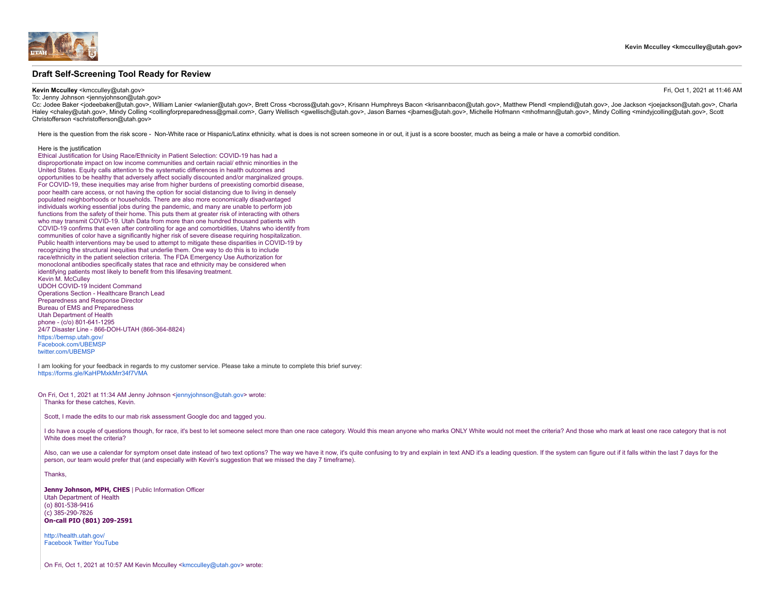

# **Draft Self-Screening Tool Ready for Review**

# **Kevin Mcculley** <kmcculley@utah.gov> Fri, Oct 1, 2021 at 11:46 AM

To: Jenny Johnson <iennyjohnson@utah.gov>

Cc: Jodee Baker <iodeebaker@utah.gov>, William Lanier <wlanier@utah.gov>. Brett Cross <bcross@utah.gov>. Krisann Humphrevs Bacon <krisannbacon@utah.gov>. Matthew Plendl <mplendl@utah.gov>. Joe Jackson <ioeiackson@utah.gov> Haley <chaley@utah.gov>. Mindy Colling <collingforpreparedness@gmail.com>. Garry Wellisch <qwellisch@utah.gov>. Jason Barnes <ibrases of annes@utah.gov>. Michelle Hofmann <mhofmann@utah.gov>. Mindy Colling <mindyicolling@u Christofferson <schristofferson@utah.gov>

Here is the question from the risk score - Non-White race or Hispanic/Latinx ethnicity. what is does is not screen someone in or out, it just is a score booster, much as being a male or have a comorbid condition.

#### Here is the justification

Ethical Justification for Using Race/Ethnicity in Patient Selection: COVID-19 has had a disproportionate impact on low income communities and certain racial/ ethnic minorities in the United States. Equity calls attention to the systematic differences in health outcomes and opportunities to be healthy that adversely affect socially discounted and/or marginalized groups. For COVID-19, these inequities may arise from higher burdens of preexisting comorbid disease, poor health care access, or not having the option for social distancing due to living in densely populated neighborhoods or households. There are also more economically disadvantaged individuals working essential jobs during the pandemic, and many are unable to perform job functions from the safety of their home. This puts them at greater risk of interacting with others who may transmit COVID-19. Utah Data from more than one hundred thousand patients with COVID-19 confirms that even after controlling for age and comorbidities, Utahns who identify from communities of color have a significantly higher risk of severe disease requiring hospitalization. Public health interventions may be used to attempt to mitigate these disparities in COVID-19 by recognizing the structural inequities that underlie them. One way to do this is to include race/ethnicity in the patient selection criteria. The FDA Emergency Use Authorization for monoclonal antibodies specifically states that race and ethnicity may be considered when identifying patients most likely to benefit from this lifesaving treatment. Kevin M. McCulley UDOH COVID-19 Incident Command Operations Section - Healthcare Branch Lead Preparedness and Response Director Bureau of EMS and Preparedness Utah Department of Health phone - (c/o) 801-641-1295 24/7 Disaster Line - 866-DOH-UTAH (866-364-8824) [https://bemsp.utah.gov/](http://health.utah.gov/preparedness/) [Facebook.com/UBEMSP](http://facebook.com/UBEMSP) [twitter.com/UBEMSP](http://twitter.com/UBEMSP)

I am looking for your feedback in regards to my customer service. Please take a minute to complete this brief survey: <https://forms.gle/KaHPMxkMrr34f7VMA>

On Fri, Oct 1, 2021 at 11:34 AM Jenny Johnson <[jennyjohnson@utah.gov](mailto:jennyjohnson@utah.gov)> wrote: Thanks for these catches, Kevin.

Scott, I made the edits to our mab risk assessment Google doc and tagged you.

I do have a couple of questions though, for race, it's best to let someone select more than one race category. Would this mean anyone who marks ONLY White would not meet the criteria? And those who mark at least one race c White does meet the criteria?

Also, can we use a calendar for symptom onset date instead of two text options? The way we have it now, it's quite confusing to try and explain in text AND it's a leading question. If the system can figure out if it falls person, our team would prefer that (and especially with Kevin's suggestion that we missed the day 7 timeframe).

Thanks,

**Jenny Johnson, MPH, CHES** | Public Information Officer Utah Department of Health (o) 801-538-9416 (c) 385-290-7826 **On-call PIO (801) 209-2591**

[http://health.utah.gov/](http://health.utah.gov/vipp) [Facebook](https://www.facebook.com/UtahDepOfHealth/) [Twitter](https://twitter.com/UtahDepOfHealth) [YouTube](https://www.youtube.com/user/UtahDepOfHealth)

On Fri, Oct 1, 2021 at 10:57 AM Kevin Mcculley <[kmcculley@utah.gov](mailto:kmcculley@utah.gov)> wrote: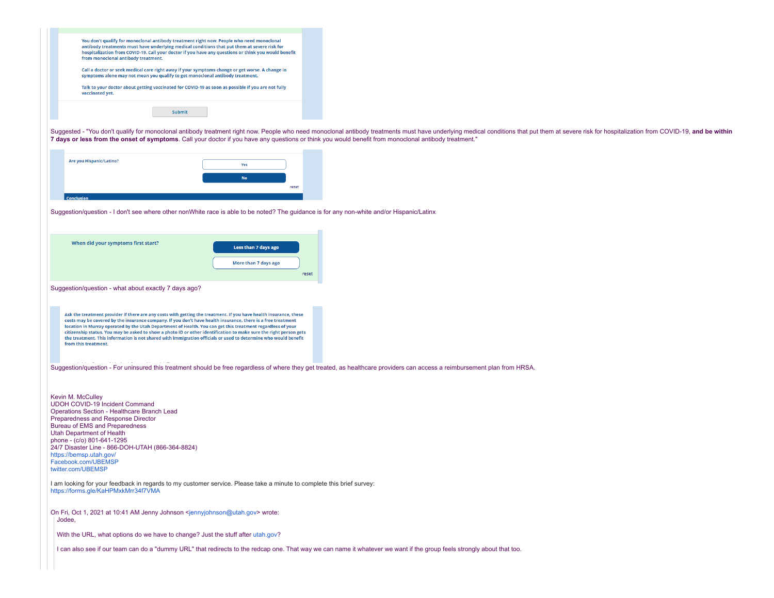| You don't qualify for monoclonal antibody treatment right now. People who need monoclonal<br>antibody treatments must have underlying medical conditions that put them at severe risk for<br>hospitalization from COVID-19. Call your doctor if you have any questions or think you would benefit<br>from monoclonal antibody treatment.<br>Call a doctor or seek medical care right away if your symptoms change or get worse. A change in<br>symptoms alone may not mean you qualify to get monoclonal antibody treatment.<br>Talk to your doctor about getting vaccinated for COVID-19 as soon as possible if you are not fully<br>vaccinated yet.<br>Submit |                                                                                                                                                                                                                                |
|-----------------------------------------------------------------------------------------------------------------------------------------------------------------------------------------------------------------------------------------------------------------------------------------------------------------------------------------------------------------------------------------------------------------------------------------------------------------------------------------------------------------------------------------------------------------------------------------------------------------------------------------------------------------|--------------------------------------------------------------------------------------------------------------------------------------------------------------------------------------------------------------------------------|
| 7 days or less from the onset of symptoms. Call your doctor if you have any questions or think you would benefit from monoclonal antibody treatment."                                                                                                                                                                                                                                                                                                                                                                                                                                                                                                           | Suggested - "You don't qualify for monoclonal antibody treatment right now. People who need monoclonal antibody treatments must have underlying medical conditions that put them at severe risk for hospitalization from COVID |
| Are you Hispanic/Latino?<br>Yes<br>No<br>reset                                                                                                                                                                                                                                                                                                                                                                                                                                                                                                                                                                                                                  |                                                                                                                                                                                                                                |
| Suggestion/question - I don't see where other nonWhite race is able to be noted? The guidance is for any non-white and/or Hispanic/Latinx                                                                                                                                                                                                                                                                                                                                                                                                                                                                                                                       |                                                                                                                                                                                                                                |
|                                                                                                                                                                                                                                                                                                                                                                                                                                                                                                                                                                                                                                                                 |                                                                                                                                                                                                                                |
| When did your symptoms first start?<br>Less than 7 days ago<br>More than 7 days ago                                                                                                                                                                                                                                                                                                                                                                                                                                                                                                                                                                             | reset                                                                                                                                                                                                                          |
| Suggestion/question - what about exactly 7 days ago?                                                                                                                                                                                                                                                                                                                                                                                                                                                                                                                                                                                                            |                                                                                                                                                                                                                                |
| Ask the treatment provider if there are any costs with getting the treatment. If you have health insurance, these<br>costs may be covered by the insurance company. If you don't have health insurance, there is a free treatment<br>location in Murray operated by the Utah Department of Health. You can get this treatment regardless of your<br>citizenship status. You may be asked to show a photo ID or other identification to make sure the right person gets<br>the treatment. This information is not shared with immigration officials or used to determine who would benefit<br>from this treatment.                                               |                                                                                                                                                                                                                                |
| Suggestion/question - For uninsured this treatment should be free regardless of where they get treated, as healthcare providers can access a reimbursement plan from HRSA.                                                                                                                                                                                                                                                                                                                                                                                                                                                                                      |                                                                                                                                                                                                                                |
| Kevin M. McCulley<br>UDOH COVID-19 Incident Command<br>Operations Section - Healthcare Branch Lead<br>Preparedness and Response Director<br>Bureau of EMS and Preparedness<br>Utah Department of Health<br>phone - (c/o) 801-641-1295<br>24/7 Disaster Line - 866-DOH-UTAH (866-364-8824)<br>https://bemsp.utah.gov/<br>Facebook.com/UBEMSP<br>twitter.com/UBEMSP                                                                                                                                                                                                                                                                                               |                                                                                                                                                                                                                                |
| I am looking for your feedback in regards to my customer service. Please take a minute to complete this brief survey:<br>https://forms.gle/KaHPMxkMrr34f7VMA                                                                                                                                                                                                                                                                                                                                                                                                                                                                                                    |                                                                                                                                                                                                                                |
| On Fri, Oct 1, 2021 at 10:41 AM Jenny Johnson <jennyjohnson@utah.gov> wrote:<br/>Jodee,<br/>With the URL, what options do we have to change? Just the stuff after utah.gov?</jennyjohnson@utah.gov>                                                                                                                                                                                                                                                                                                                                                                                                                                                             |                                                                                                                                                                                                                                |
| I can also see if our team can do a "dummy URL" that redirects to the redcap one. That way we can name it whatever we want if the group feels strongly about that too.                                                                                                                                                                                                                                                                                                                                                                                                                                                                                          |                                                                                                                                                                                                                                |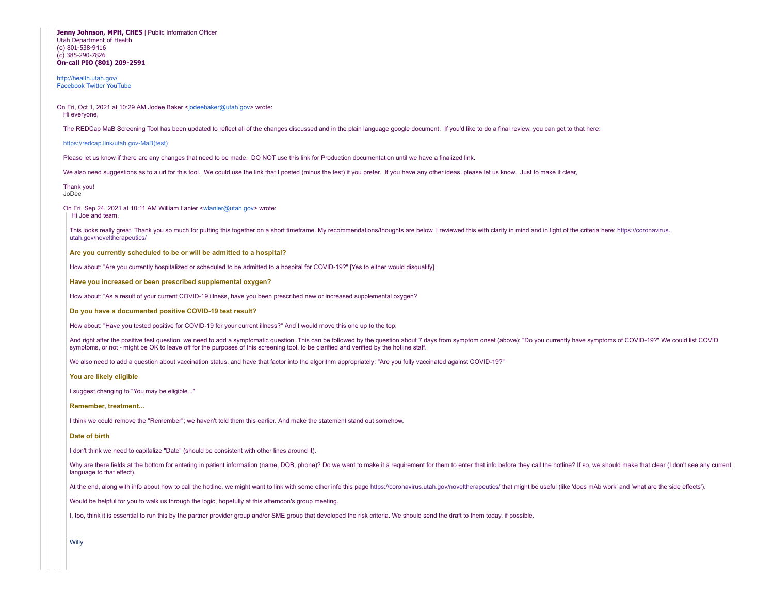| Jenny Johnson, MPH, CHES   Public Information Officer<br>Utah Department of Health<br>(o) 801-538-9416<br>(c) 385-290-7826<br>On-call PIO (801) 209-2591 |                                                                                                                                                                                                                                                                                                                                                                           |  |
|----------------------------------------------------------------------------------------------------------------------------------------------------------|---------------------------------------------------------------------------------------------------------------------------------------------------------------------------------------------------------------------------------------------------------------------------------------------------------------------------------------------------------------------------|--|
| http://health.utah.gov/<br><b>Facebook Twitter YouTube</b>                                                                                               |                                                                                                                                                                                                                                                                                                                                                                           |  |
| On Fri, Oct 1, 2021 at 10:29 AM Jodee Baker <jodeebaker@utah.gov> wrote:<br/>Hi everyone,</jodeebaker@utah.gov>                                          |                                                                                                                                                                                                                                                                                                                                                                           |  |
|                                                                                                                                                          | The REDCap MaB Screening Tool has been updated to reflect all of the changes discussed and in the plain language google document. If you'd like to do a final review, you can get to that here:                                                                                                                                                                           |  |
|                                                                                                                                                          | https://redcap.link/utah.gov-MaB(test)                                                                                                                                                                                                                                                                                                                                    |  |
|                                                                                                                                                          | Please let us know if there are any changes that need to be made. DO NOT use this link for Production documentation until we have a finalized link.                                                                                                                                                                                                                       |  |
|                                                                                                                                                          | We also need suggestions as to a url for this tool. We could use the link that I posted (minus the test) if you prefer. If you have any other ideas, please let us know. Just to make it clear,                                                                                                                                                                           |  |
|                                                                                                                                                          | Thank you!<br>JoDee                                                                                                                                                                                                                                                                                                                                                       |  |
|                                                                                                                                                          | On Fri, Sep 24, 2021 at 10:11 AM William Lanier <wlanier@utah.gov> wrote:<br/>Hi Joe and team,</wlanier@utah.gov>                                                                                                                                                                                                                                                         |  |
|                                                                                                                                                          | This looks really great. Thank you so much for putting this together on a short timeframe. My recommendations/thoughts are below. I reviewed this with clarity in mind and in light of the criteria here: https://coronavirus.<br>utah.gov/noveltherapeutics/                                                                                                             |  |
|                                                                                                                                                          | Are you currently scheduled to be or will be admitted to a hospital?                                                                                                                                                                                                                                                                                                      |  |
|                                                                                                                                                          | How about: "Are you currently hospitalized or scheduled to be admitted to a hospital for COVID-19?" [Yes to either would disqualify]                                                                                                                                                                                                                                      |  |
|                                                                                                                                                          | Have you increased or been prescribed supplemental oxygen?                                                                                                                                                                                                                                                                                                                |  |
|                                                                                                                                                          | How about: "As a result of your current COVID-19 illness, have you been prescribed new or increased supplemental oxygen?                                                                                                                                                                                                                                                  |  |
|                                                                                                                                                          | Do you have a documented positive COVID-19 test result?                                                                                                                                                                                                                                                                                                                   |  |
| How about: "Have you tested positive for COVID-19 for your current illness?" And I would move this one up to the top.                                    |                                                                                                                                                                                                                                                                                                                                                                           |  |
|                                                                                                                                                          | And right after the positive test question, we need to add a symptomatic question. This can be followed by the question about 7 days from symptom onset (above): "Do you currently have symptoms of COVID-19?" We could list C<br>symptoms, or not - might be OK to leave off for the purposes of this screening tool, to be clarified and verified by the hotline staff. |  |
|                                                                                                                                                          | We also need to add a question about vaccination status, and have that factor into the algorithm appropriately: "Are you fully vaccinated against COVID-19?"                                                                                                                                                                                                              |  |
|                                                                                                                                                          | You are likely eligible                                                                                                                                                                                                                                                                                                                                                   |  |
| I suggest changing to "You may be eligible"                                                                                                              |                                                                                                                                                                                                                                                                                                                                                                           |  |
| Remember, treatment                                                                                                                                      |                                                                                                                                                                                                                                                                                                                                                                           |  |
| I think we could remove the "Remember"; we haven't told them this earlier. And make the statement stand out somehow.                                     |                                                                                                                                                                                                                                                                                                                                                                           |  |
| Date of birth                                                                                                                                            |                                                                                                                                                                                                                                                                                                                                                                           |  |
|                                                                                                                                                          | I don't think we need to capitalize "Date" (should be consistent with other lines around it).                                                                                                                                                                                                                                                                             |  |
|                                                                                                                                                          | Why are there fields at the bottom for entering in patient information (name, DOB, phone)? Do we want to make it a requirement for them to enter that info before they call the hotline? If so, we should make that clear (I d<br>language to that effect).                                                                                                               |  |
|                                                                                                                                                          | At the end, along with info about how to call the hotline, we might want to link with some other info this page https://coronavirus.utah.gov/noveltherapeutics/ that might be useful (like 'does mAb work' and 'what are the s                                                                                                                                            |  |
|                                                                                                                                                          | Would be helpful for you to walk us through the logic, hopefully at this afternoon's group meeting.                                                                                                                                                                                                                                                                       |  |
|                                                                                                                                                          | I, too, think it is essential to run this by the partner provider group and/or SME group that developed the risk criteria. We should send the draft to them today, if possible.                                                                                                                                                                                           |  |
|                                                                                                                                                          | Willy                                                                                                                                                                                                                                                                                                                                                                     |  |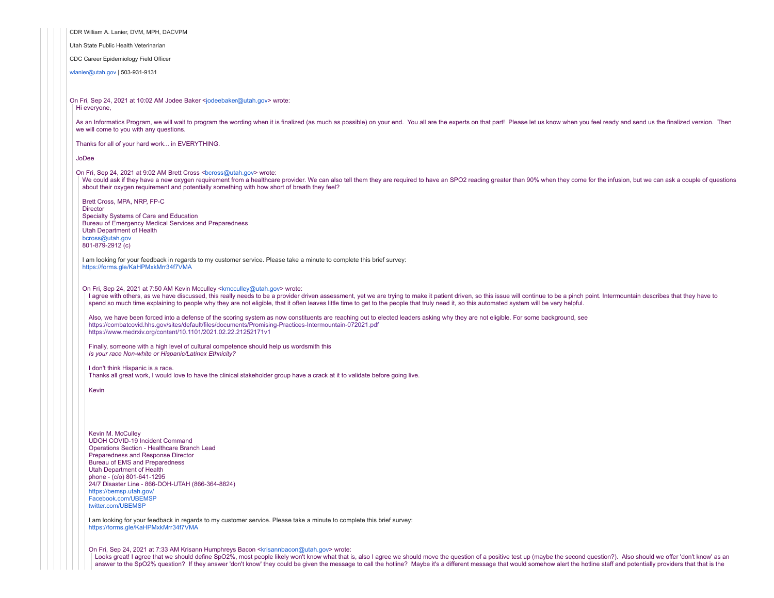CDR William A. Lanier, DVM, MPH, DACVPM Utah State Public Health Veterinarian CDC Career Epidemiology Field Officer [wlanier@utah.gov](mailto:wlanier@utah.gov) | 503-931-9131 On Fri, Sep 24, 2021 at 10:02 AM Jodee Baker <[jodeebaker@utah.gov](mailto:jodeebaker@utah.gov)> wrote: Hi everyone, As an Informatics Program, we will wait to program the wording when it is finalized (as much as possible) on your end. You all are the experts on that part! Please let us know when you feel ready and send us the finalized we will come to you with any questions. Thanks for all of your hard work... in EVERYTHING. JoDee On Fri, Sep 24, 2021 at 9:02 AM Brett Cross <br/>[bcross@utah.gov](mailto:bcross@utah.gov)> wrote: We could ask if they have a new oxygen requirement from a healthcare provider. We can also tell them they are required to have an SPO2 reading greater than 90% when they come for the infusion, but we can ask a couple of qu about their oxygen requirement and potentially something with how short of breath they feel? Brett Cross, MPA, NRP, FP-C **Director** Specialty Systems of Care and Education Bureau of Emergency Medical Services and Preparedness Utah Department of Health [bcross@utah.gov](mailto:bcross@utah.gov) 801-879-2912 (c) I am looking for your feedback in regards to my customer service. Please take a minute to complete this brief survey: <https://forms.gle/KaHPMxkMrr34f7VMA> On Fri, Sep 24, 2021 at 7:50 AM Kevin Mcculley <[kmcculley@utah.gov>](mailto:kmcculley@utah.gov) wrote: I agree with others, as we have discussed, this really needs to be a provider driven assessment, yet we are trying to make it patient driven, so this issue will continue to be a pinch point. Intermountain describes that th spend so much time explaining to people why they are not eligible, that it often leaves little time to get to the people that truly need it, so this automated system will be very helpful. Also, we have been forced into a defense of the scoring system as now constituents are reaching out to elected leaders asking why they are not eligible. For some background, see <https://combatcovid.hhs.gov/sites/default/files/documents/Promising-Practices-Intermountain-072021.pdf> <https://www.medrxiv.org/content/10.1101/2021.02.22.21252171v1> Finally, someone with a high level of cultural competence should help us wordsmith this *Is your race Non-white or Hispanic/Latinex Ethnicity?* I don't think Hispanic is a race. Thanks all great work, I would love to have the clinical stakeholder group have a crack at it to validate before going live. Kevin Kevin M. McCulley UDOH COVID-19 Incident Command Operations Section - Healthcare Branch Lead Preparedness and Response Director Bureau of EMS and Preparedness Utah Department of Health phone - (c/o) 801-641-1295 24/7 Disaster Line - 866-DOH-UTAH (866-364-8824) [https://bemsp.utah.gov/](http://health.utah.gov/preparedness/) [Facebook.com/UBEMSP](http://facebook.com/UBEMSP) [twitter.com/UBEMSP](http://twitter.com/UBEMSP) I am looking for your feedback in regards to my customer service. Please take a minute to complete this brief survey: <https://forms.gle/KaHPMxkMrr34f7VMA> On Fri, Sep 24, 2021 at 7:33 AM Krisann Humphreys Bacon <[krisannbacon@utah.gov>](mailto:krisannbacon@utah.gov) wrote: Looks great! I agree that we should define SpO2%, most people likely won't know what that is, also I agree we should move the question of a positive test up (maybe the second question?). Also should we offer 'don't know' a

answer to the SpO2% question? If they answer 'don't know' they could be given the message to call the hotline? Maybe it's a different message that would somehow alert the hotline staff and potentially providers that that i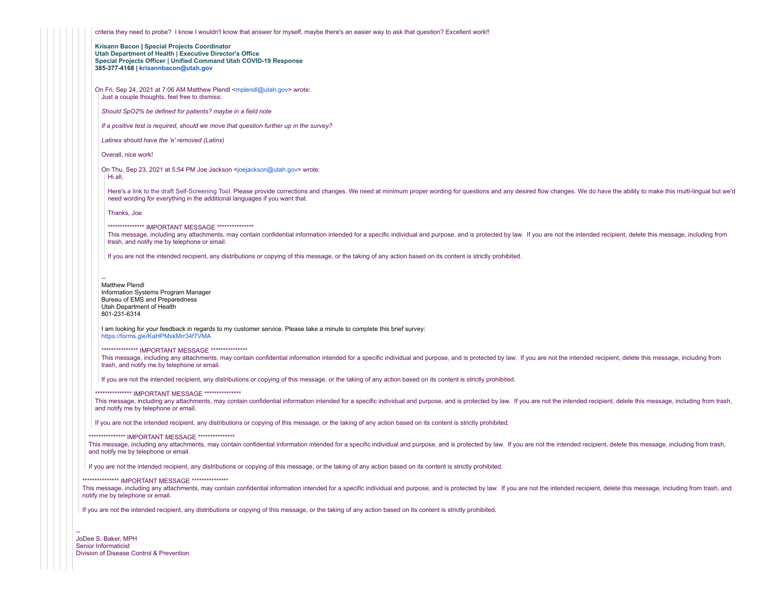criteria they need to probe? I know I wouldn't know that answer for myself, maybe there's an easier way to ask that question? Excellent work!!

**Krisann Bacon | Special Projects Coordinator Utah Department of Health | Executive Director's Office Special Projects Officer | Unified Command Utah COVID-19 Response 385-377-4168 | [krisannbacon@utah.gov](mailto:krisannbacon@utah.gov)**

On Fri, Sep 24, 2021 at 7:06 AM Matthew Plendl [<mplendl@utah.gov](mailto:mplendl@utah.gov)> wrote: Just a couple thoughts, feel free to dismiss:

*Should SpO2% be defined for patients? maybe in a field note*

*If a positive test is required, should we move that question further up in the survey?*

*Latinex should have the 'e' removed (Latinx)*

Overall, nice work!

On Thu, Sep 23, 2021 at 5:54 PM Joe Jackson [<joejackson@utah.gov>](mailto:joejackson@utah.gov) wrote: Hi all,

Here's a link to the draft [Self-Screening Tool.](https://c19.health.utah.gov/surveys/?s=CEPXJM9HT8) Please provide corrections and changes. We need at minimum proper wording for questions and any desired flow changes. We do have the ability to make this multi-lingual but we'd need wording for everything in the additional languages if you want that.

Thanks, Joe

\*\*\*\*\*\*\*\*\*\*\*\*\*\*\*\* IMPORTANT MESSAGE \*\*\*\*\*\*\*\*\*\*\*\*\*\*\*\*

This message, including any attachments, may contain confidential information intended for a specific individual and purpose, and is protected by law. If you are not the intended recipient, delete this message, including f trash, and notify me by telephone or email.

If you are not the intended recipient, any distributions or copying of this message, or the taking of any action based on its content is strictly prohibited.

Matthew Plendl Information Systems Program Manager Bureau of EMS and Preparedness Utah Department of Health 801-231-6314

I am looking for your feedback in regards to my customer service. Please take a minute to complete this brief survey: <https://forms.gle/KaHPMxkMrr34f7VMA>

\*\*\*\*\*\*\*\*\*\*\*\*\*\*\*\* IMPORTANT MESSAGE \*\*\*\*\*\*\*\*\*\*\*\*\*\*\*\*

This message, including any attachments, may contain confidential information intended for a specific individual and purpose, and is protected by law. If you are not the intended recipient, delete this message, including f trash, and notify me by telephone or email.

If you are not the intended recipient, any distributions or copying of this message, or the taking of any action based on its content is strictly prohibited.

\*\*\*\*\*\*\*\*\*\*\*\*\*\*\*\* IMPORTANT MESSAGE \*\*\*\*\*\*\*\*\*\*\*\*\*\*\*\*

This message, including any attachments, may contain confidential information intended for a specific individual and purpose, and is protected by law. If you are not the intended recipient, delete this message, including f and notify me by telephone or email.

If you are not the intended recipient, any distributions or copying of this message, or the taking of any action based on its content is strictly prohibited.

\*\*\*\*\*\*\*\*\*\*\*\*\*\*\*\* IMPORTANT MESSAGE \*\*\*\*\*\*\*\*\*\*\*\*\*\*\*\*

This message, including any attachments, may contain confidential information intended for a specific individual and purpose, and is protected by law. If you are not the intended recipient, delete this message, including f and notify me by telephone or email.

If you are not the intended recipient, any distributions or copying of this message, or the taking of any action based on its content is strictly prohibited.

### \*\*\*\*\*\*\*\*\*\*\*\*\*\*\*\* IMPORTANT MESSAGE \*\*\*\*\*\*\*\*\*\*\*\*\*\*\*\*

This message, including any attachments, may contain confidential information intended for a specific individual and purpose, and is protected by law. If you are not the intended recipient, delete this message, including f notify me by telephone or email.

If you are not the intended recipient, any distributions or copying of this message, or the taking of any action based on its content is strictly prohibited.

-- JoDee S. Baker, MPH Senior Informaticist Division of Disease Control & Prevention